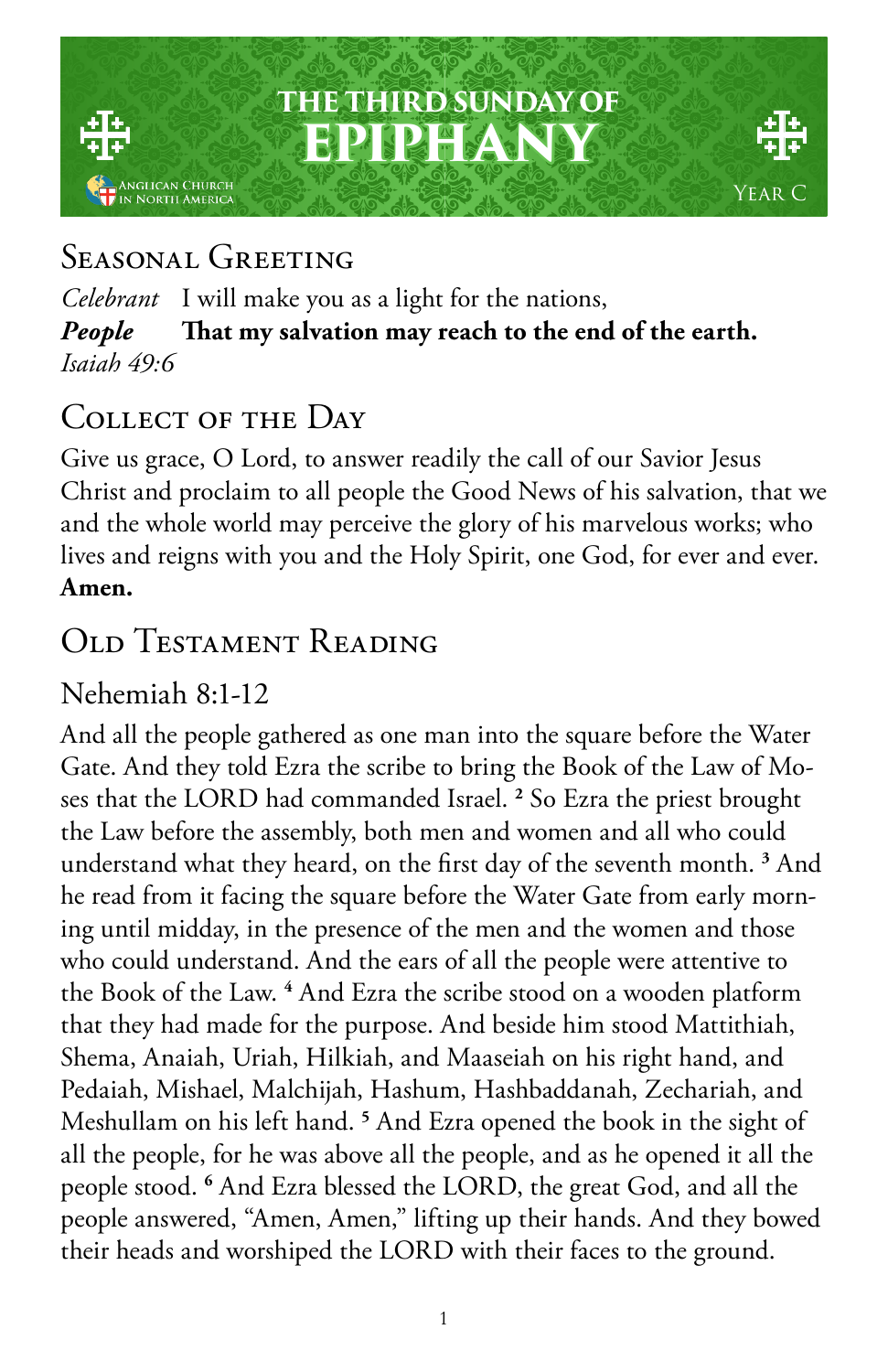## **THE THIRD SUNDAY OF EPIPHANY** iglican Church<br>North America

# Year C

## SEASONAL GREETING

*Celebrant* I will make you as a light for the nations, *People* **That my salvation may reach to the end of the earth.** *Isaiah 49:6*

## Collect of the Day

Give us grace, O Lord, to answer readily the call of our Savior Jesus Christ and proclaim to all people the Good News of his salvation, that we and the whole world may perceive the glory of his marvelous works; who lives and reigns with you and the Holy Spirit, one God, for ever and ever. **Amen.**

## OLD TESTAMENT READING

#### Nehemiah 8:1-12

And all the people gathered as one man into the square before the Water Gate. And they told Ezra the scribe to bring the Book of the Law of Moses that the LORD had commanded Israel. **<sup>2</sup>** So Ezra the priest brought the Law before the assembly, both men and women and all who could understand what they heard, on the first day of the seventh month. **<sup>3</sup>** And he read from it facing the square before the Water Gate from early morning until midday, in the presence of the men and the women and those who could understand. And the ears of all the people were attentive to the Book of the Law. **<sup>4</sup>** And Ezra the scribe stood on a wooden platform that they had made for the purpose. And beside him stood Mattithiah, Shema, Anaiah, Uriah, Hilkiah, and Maaseiah on his right hand, and Pedaiah, Mishael, Malchijah, Hashum, Hashbaddanah, Zechariah, and Meshullam on his left hand. **<sup>5</sup>** And Ezra opened the book in the sight of all the people, for he was above all the people, and as he opened it all the people stood. **<sup>6</sup>** And Ezra blessed the LORD, the great God, and all the people answered, "Amen, Amen," lifting up their hands. And they bowed their heads and worshiped the LORD with their faces to the ground.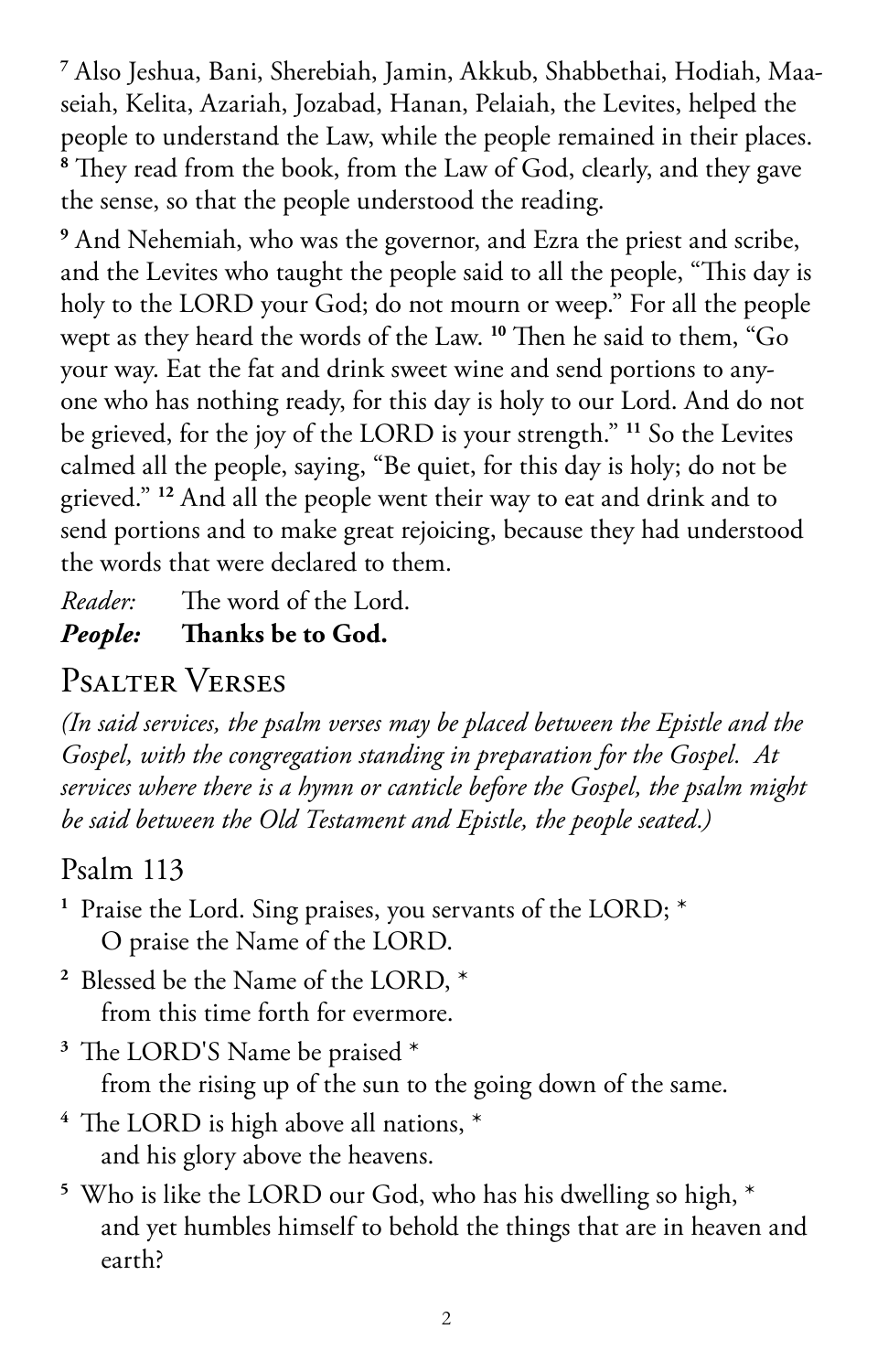**<sup>7</sup>** Also Jeshua, Bani, Sherebiah, Jamin, Akkub, Shabbethai, Hodiah, Maaseiah, Kelita, Azariah, Jozabad, Hanan, Pelaiah, the Levites, helped the people to understand the Law, while the people remained in their places. **8** They read from the book, from the Law of God, clearly, and they gave the sense, so that the people understood the reading.

**9** And Nehemiah, who was the governor, and Ezra the priest and scribe, and the Levites who taught the people said to all the people, "This day is holy to the LORD your God; do not mourn or weep." For all the people wept as they heard the words of the Law. **<sup>10</sup>** Then he said to them, "Go your way. Eat the fat and drink sweet wine and send portions to anyone who has nothing ready, for this day is holy to our Lord. And do not be grieved, for the joy of the LORD is your strength." **<sup>11</sup>** So the Levites calmed all the people, saying, "Be quiet, for this day is holy; do not be grieved." **<sup>12</sup>** And all the people went their way to eat and drink and to send portions and to make great rejoicing, because they had understood the words that were declared to them.

*Reader:* The word of the Lord. *People:* **Thanks be to God.** 

#### Psalter Verses

*(In said services, the psalm verses may be placed between the Epistle and the Gospel, with the congregation standing in preparation for the Gospel. At services where there is a hymn or canticle before the Gospel, the psalm might be said between the Old Testament and Epistle, the people seated.)*

#### Psalm 113

- **<sup>1</sup>** Praise the Lord. Sing praises, you servants of the LORD; \* O praise the Name of the LORD.
- **<sup>2</sup>** Blessed be the Name of the LORD, \* from this time forth for evermore.
- **<sup>3</sup>** The LORD'S Name be praised \* from the rising up of the sun to the going down of the same.
- **<sup>4</sup>** The LORD is high above all nations, \* and his glory above the heavens.
- **<sup>5</sup>** Who is like the LORD our God, who has his dwelling so high, \* and yet humbles himself to behold the things that are in heaven and earth?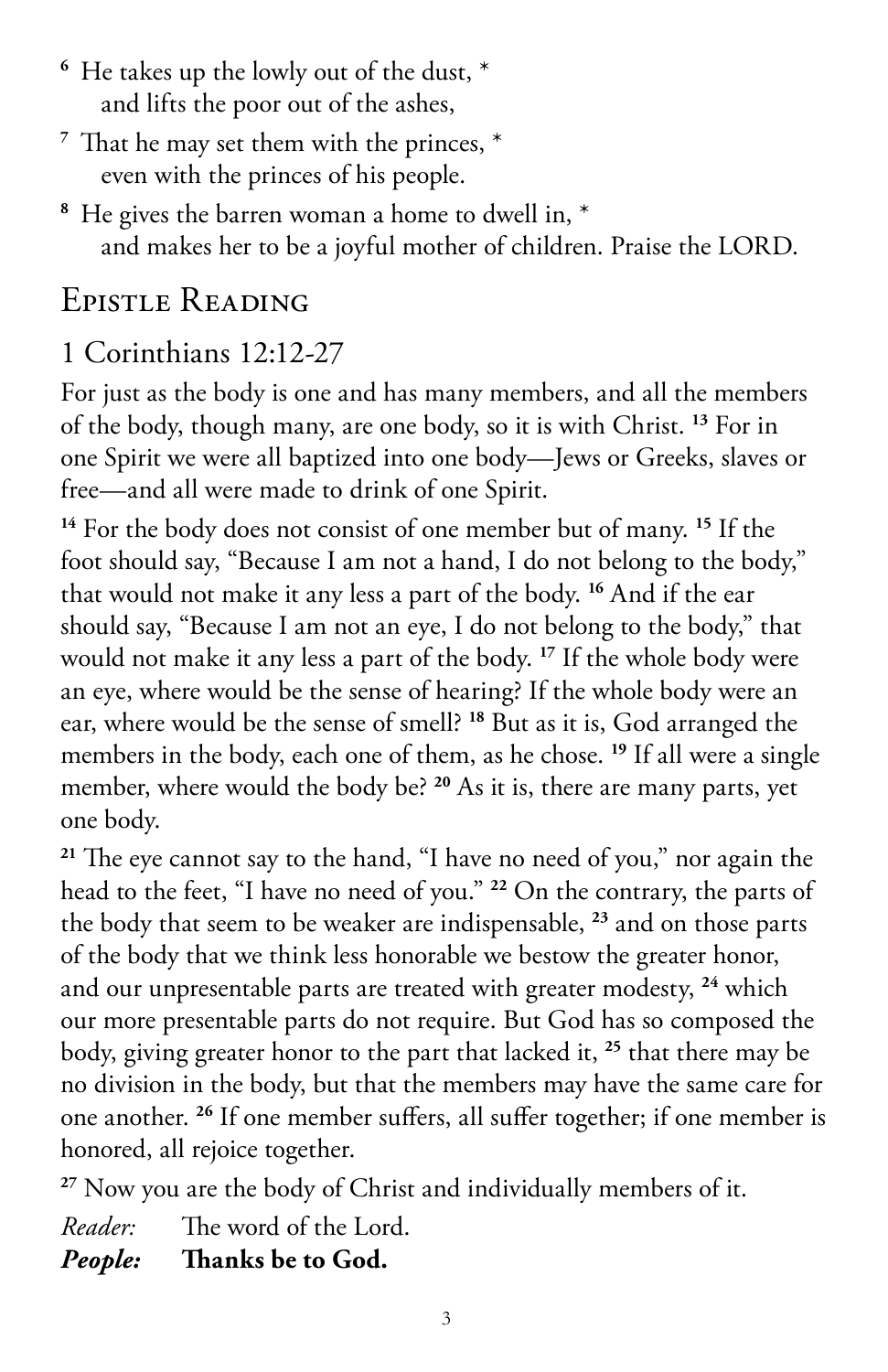- **<sup>6</sup>** He takes up the lowly out of the dust, \* and lifts the poor out of the ashes,
- **<sup>7</sup>** That he may set them with the princes, \* even with the princes of his people.
- **<sup>8</sup>** He gives the barren woman a home to dwell in, \* and makes her to be a joyful mother of children. Praise the LORD.

#### Epistle Reading

#### 1 Corinthians 12:12-27

For just as the body is one and has many members, and all the members of the body, though many, are one body, so it is with Christ. **<sup>13</sup>** For in one Spirit we were all baptized into one body—Jews or Greeks, slaves or free—and all were made to drink of one Spirit.

**<sup>14</sup>** For the body does not consist of one member but of many. **<sup>15</sup>** If the foot should say, "Because I am not a hand, I do not belong to the body," that would not make it any less a part of the body. **<sup>16</sup>** And if the ear should say, "Because I am not an eye, I do not belong to the body," that would not make it any less a part of the body. **<sup>17</sup>** If the whole body were an eye, where would be the sense of hearing? If the whole body were an ear, where would be the sense of smell? **<sup>18</sup>** But as it is, God arranged the members in the body, each one of them, as he chose. **<sup>19</sup>** If all were a single member, where would the body be? **<sup>20</sup>** As it is, there are many parts, yet one body.

**<sup>21</sup>** The eye cannot say to the hand, "I have no need of you," nor again the head to the feet, "I have no need of you." **<sup>22</sup>** On the contrary, the parts of the body that seem to be weaker are indispensable, **<sup>23</sup>** and on those parts of the body that we think less honorable we bestow the greater honor, and our unpresentable parts are treated with greater modesty, **<sup>24</sup>** which our more presentable parts do not require. But God has so composed the body, giving greater honor to the part that lacked it, **<sup>25</sup>** that there may be no division in the body, but that the members may have the same care for one another. **<sup>26</sup>** If one member suffers, all suffer together; if one member is honored, all rejoice together.

**<sup>27</sup>** Now you are the body of Christ and individually members of it.

*Reader:* The word of the Lord. *People:* **Thanks be to God.**